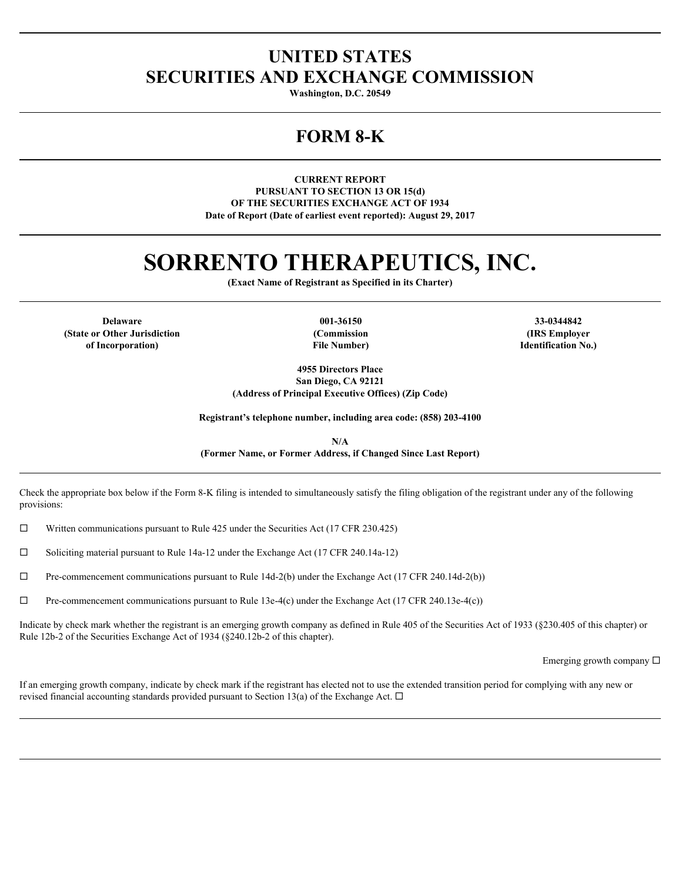## **UNITED STATES SECURITIES AND EXCHANGE COMMISSION**

**Washington, D.C. 20549**

## **FORM 8-K**

**CURRENT REPORT PURSUANT TO SECTION 13 OR 15(d) OF THE SECURITIES EXCHANGE ACT OF 1934 Date of Report (Date of earliest event reported): August 29, 2017**

# **SORRENTO THERAPEUTICS, INC.**

**(Exact Name of Registrant as Specified in its Charter)**

**Delaware 001-36150 33-0344842 (State or Other Jurisdiction of Incorporation)**

**File Number)**

**(Commission (IRS Employer Identification No.)**

**4955 Directors Place San Diego, CA 92121 (Address of Principal Executive Offices) (Zip Code)**

**Registrant's telephone number, including area code: (858) 203-4100**

**N/A (Former Name, or Former Address, if Changed Since Last Report)**

Check the appropriate box below if the Form 8-K filing is intended to simultaneously satisfy the filing obligation of the registrant under any of the following provisions:

 $\Box$  Written communications pursuant to Rule 425 under the Securities Act (17 CFR 230.425)

 $\Box$  Soliciting material pursuant to Rule 14a-12 under the Exchange Act (17 CFR 240.14a-12)

 $\Box$  Pre-commencement communications pursuant to Rule 14d-2(b) under the Exchange Act (17 CFR 240.14d-2(b))

 $\Box$  Pre-commencement communications pursuant to Rule 13e-4(c) under the Exchange Act (17 CFR 240.13e-4(c))

Indicate by check mark whether the registrant is an emerging growth company as defined in Rule 405 of the Securities Act of 1933 (§230.405 of this chapter) or Rule 12b-2 of the Securities Exchange Act of 1934 (§240.12b-2 of this chapter).

Emerging growth company  $\square$ 

If an emerging growth company, indicate by check mark if the registrant has elected not to use the extended transition period for complying with any new or revised financial accounting standards provided pursuant to Section 13(a) of the Exchange Act.  $\Box$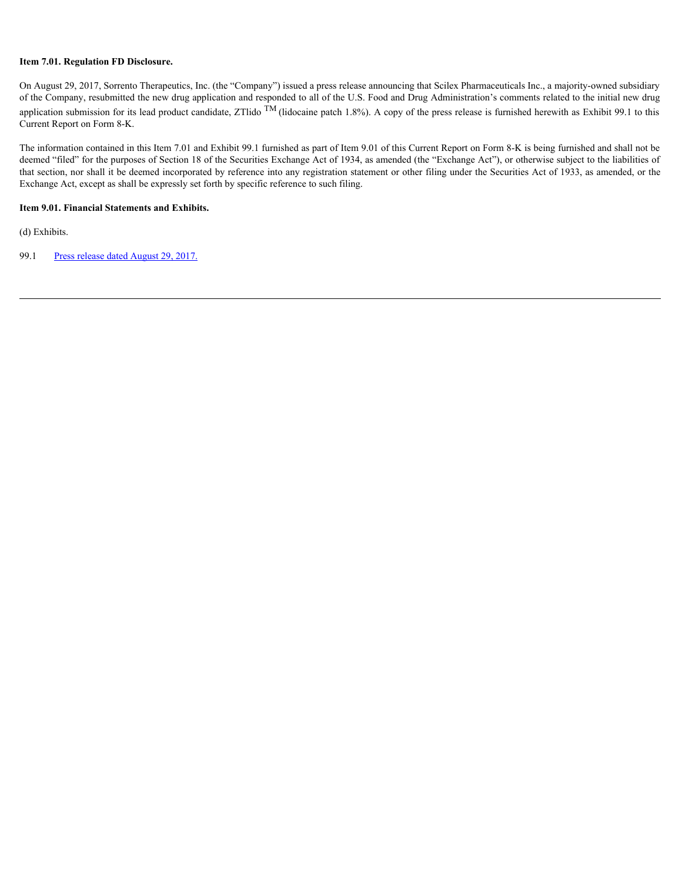#### **Item 7.01. Regulation FD Disclosure.**

On August 29, 2017, Sorrento Therapeutics, Inc. (the "Company") issued a press release announcing that Scilex Pharmaceuticals Inc., a majority-owned subsidiary of the Company, resubmitted the new drug application and responded to all of the U.S. Food and Drug Administration's comments related to the initial new drug application submission for its lead product candidate, ZTlido  $\overline{M}$  (lidocaine patch 1.8%). A copy of the press release is furnished herewith as Exhibit 99.1 to this Current Report on Form 8-K.

The information contained in this Item 7.01 and Exhibit 99.1 furnished as part of Item 9.01 of this Current Report on Form 8-K is being furnished and shall not be deemed "filed" for the purposes of Section 18 of the Securities Exchange Act of 1934, as amended (the "Exchange Act"), or otherwise subject to the liabilities of that section, nor shall it be deemed incorporated by reference into any registration statement or other filing under the Securities Act of 1933, as amended, or the Exchange Act, except as shall be expressly set forth by specific reference to such filing.

#### **Item 9.01. Financial Statements and Exhibits.**

(d) Exhibits.

99.1 [Press release dated August 29, 2017.](#page-3-0)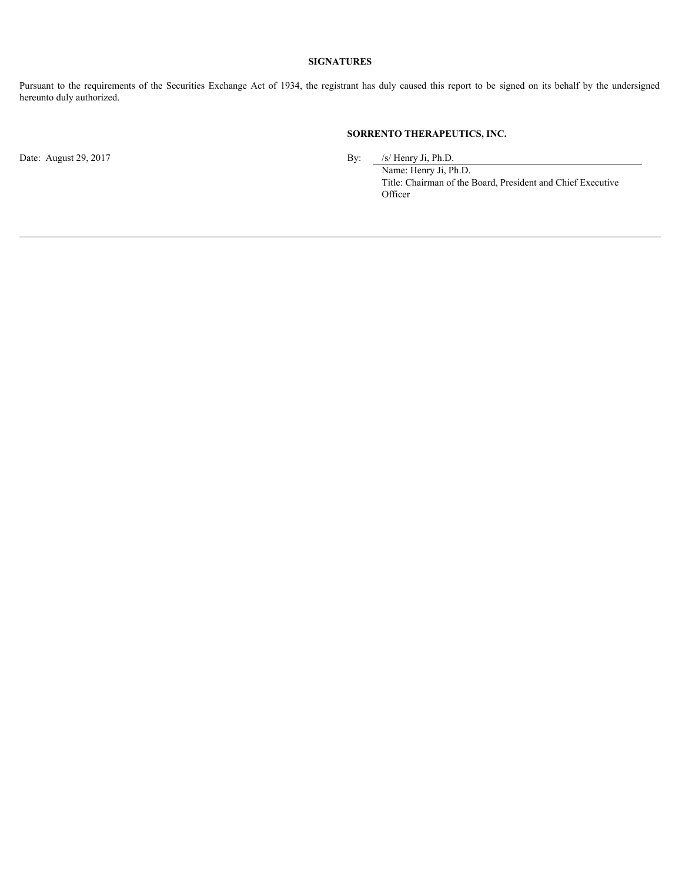#### **SIGNATURES**

**Pursuant to the requirements of the Securities Exchange Act of 1934, the registrant has duly caused this report to be signed on its behalf by the undersigned<br>hereunto duly authorized.<br><b>SORRENTO THERAPEUTICS, INC.**<br>**Date:** hereunto duly authorized.

#### **SORRENTO THERAPEUTICS, INC.**

Date: August 29, 2017 By: /s/ Henry Ji, Ph.D.

Name: Henry Ji, Ph.D. Title: Chairman of the Board, President and Chief Executive **Officer**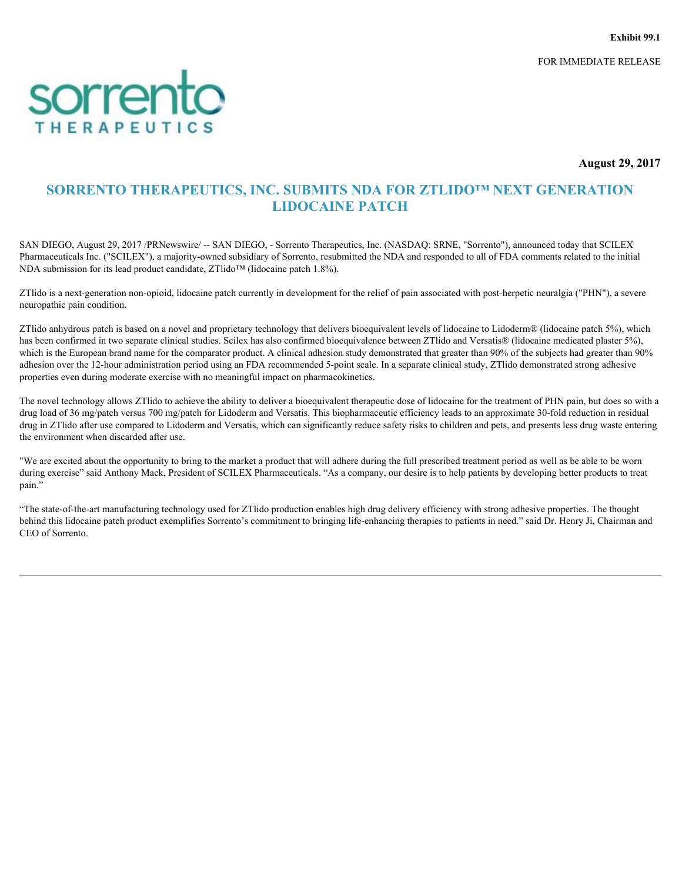FOR IMMEDIATE RELEASE

<span id="page-3-0"></span>

**August 29, 2017**

### **SORRENTO THERAPEUTICS, INC. SUBMITS NDA FOR ZTLIDO™ NEXT GENERATION LIDOCAINE PATCH**

SAN DIEGO, August 29, 2017 /PRNewswire/ -- SAN DIEGO, - Sorrento Therapeutics, Inc. (NASDAQ: SRNE, "Sorrento"), announced today that SCILEX Pharmaceuticals Inc. ("SCILEX"), a majority-owned subsidiary of Sorrento, resubmitted the NDA and responded to all of FDA comments related to the initial NDA submission for its lead product candidate, ZTlido™ (lidocaine patch 1.8%).

ZTlido is a next-generation non-opioid, lidocaine patch currently in development for the relief of pain associated with post-herpetic neuralgia ("PHN"), a severe neuropathic pain condition.

ZTlido anhydrous patch is based on a novel and proprietary technology that delivers bioequivalent levels of lidocaine to Lidoderm® (lidocaine patch 5%), which has been confirmed in two separate clinical studies. Scilex has also confirmed bioequivalence between ZTlido and Versatis® (lidocaine medicated plaster 5%), which is the European brand name for the comparator product. A clinical adhesion study demonstrated that greater than 90% of the subjects had greater than 90% adhesion over the 12-hour administration period using an FDA recommended 5-point scale. In a separate clinical study, ZTlido demonstrated strong adhesive properties even during moderate exercise with no meaningful impact on pharmacokinetics.

The novel technology allows ZTlido to achieve the ability to deliver a bioequivalent therapeutic dose of lidocaine for the treatment of PHN pain, but does so with a drug load of 36 mg/patch versus 700 mg/patch for Lidoderm and Versatis. This biopharmaceutic efficiency leads to an approximate 30-fold reduction in residual drug in ZTlido after use compared to Lidoderm and Versatis, which can significantly reduce safety risks to children and pets, and presents less drug waste entering the environment when discarded after use.

"We are excited about the opportunity to bring to the market a product that will adhere during the full prescribed treatment period as well as be able to be worn during exercise" said Anthony Mack, President of SCILEX Pharmaceuticals. "As a company, our desire is to help patients by developing better products to treat pain."

"The state-of-the-art manufacturing technology used for ZTlido production enables high drug delivery efficiency with strong adhesive properties. The thought behind this lidocaine patch product exemplifies Sorrento's commitment to bringing life-enhancing therapies to patients in need." said Dr. Henry Ji, Chairman and CEO of Sorrento.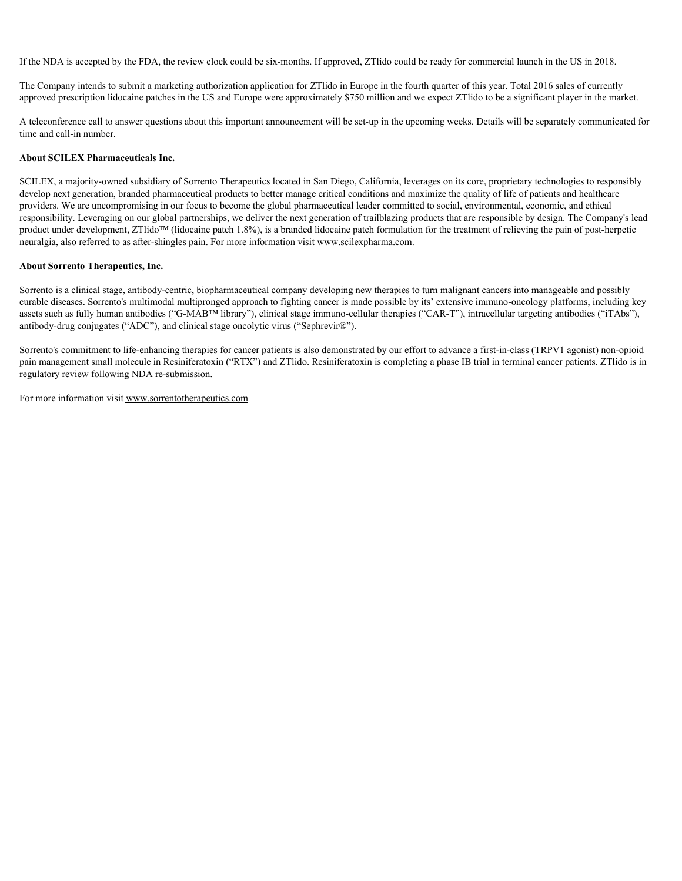If the NDA is accepted by the FDA, the review clock could be six-months. If approved, ZTlido could be ready for commercial launch in the US in 2018.

The Company intends to submit a marketing authorization application for ZTlido in Europe in the fourth quarter of this year. Total 2016 sales of currently approved prescription lidocaine patches in the US and Europe were approximately \$750 million and we expect ZTlido to be a significant player in the market.

A teleconference call to answer questions about this important announcement will be set-up in the upcoming weeks. Details will be separately communicated for time and call-in number.

#### **About SCILEX Pharmaceuticals Inc.**

SCILEX, a majority-owned subsidiary of Sorrento Therapeutics located in San Diego, California, leverages on its core, proprietary technologies to responsibly develop next generation, branded pharmaceutical products to better manage critical conditions and maximize the quality of life of patients and healthcare providers. We are uncompromising in our focus to become the global pharmaceutical leader committed to social, environmental, economic, and ethical responsibility. Leveraging on our global partnerships, we deliver the next generation of trailblazing products that are responsible by design. The Company's lead product under development, ZTlido™ (lidocaine patch 1.8%), is a branded lidocaine patch formulation for the treatment of relieving the pain of post-herpetic neuralgia, also referred to as after-shingles pain. For more information visit www.scilexpharma.com.

#### **About Sorrento Therapeutics, Inc.**

Sorrento is a clinical stage, antibody-centric, biopharmaceutical company developing new therapies to turn malignant cancers into manageable and possibly curable diseases. Sorrento's multimodal multipronged approach to fighting cancer is made possible by its' extensive immuno-oncology platforms, including key assets such as fully human antibodies ("G-MAB™ library"), clinical stage immuno-cellular therapies ("CAR-T"), intracellular targeting antibodies ("iTAbs"), antibody-drug conjugates ("ADC"), and clinical stage oncolytic virus ("Sephrevir®").

Sorrento's commitment to life-enhancing therapies for cancer patients is also demonstrated by our effort to advance a first-in-class (TRPV1 agonist) non-opioid pain management small molecule in Resiniferatoxin ("RTX") and ZTlido. Resiniferatoxin is completing a phase IB trial in terminal cancer patients. ZTlido is in regulatory review following NDA re-submission.

For more information visit www.sorrentotherapeutics.com